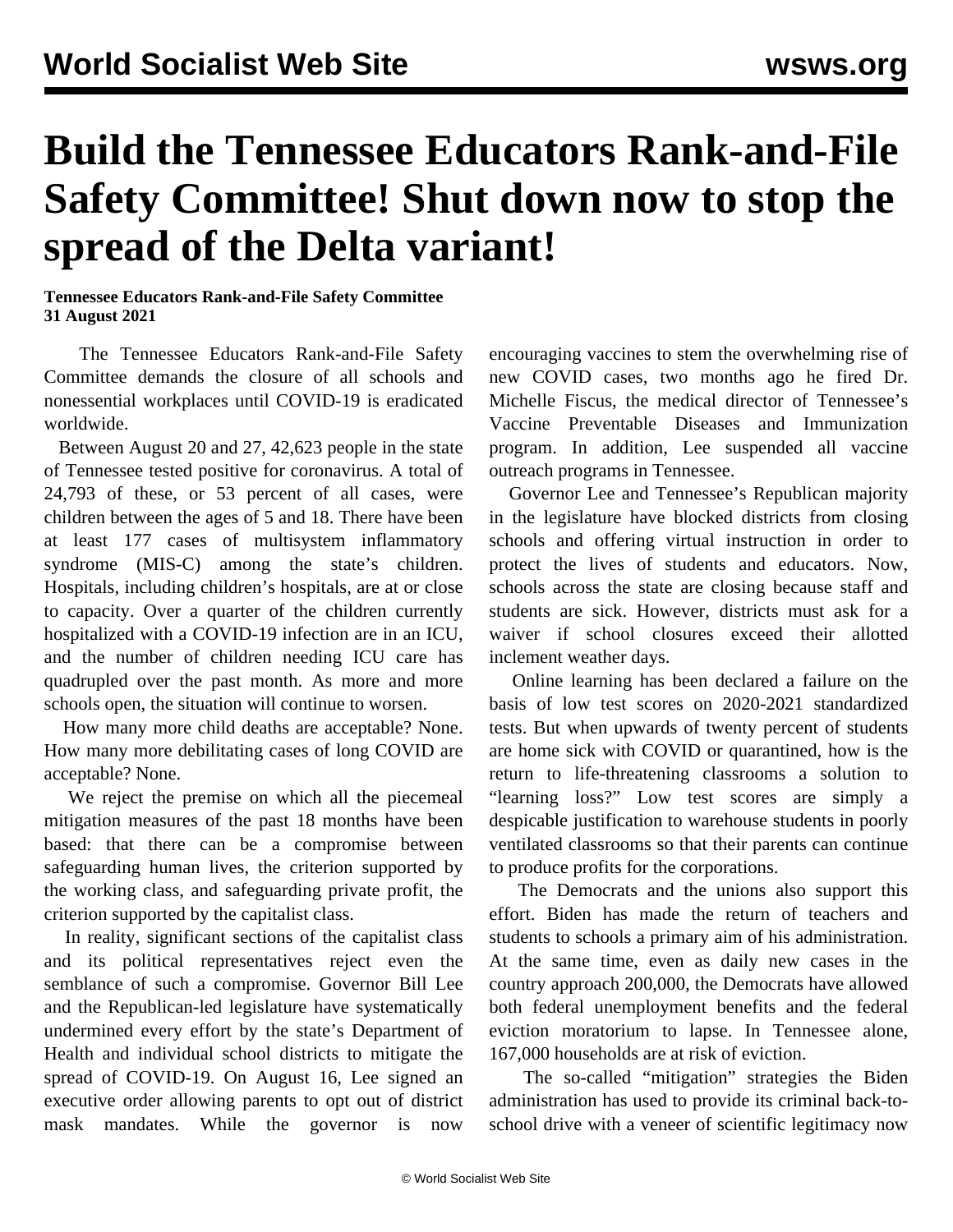## **Build the Tennessee Educators Rank-and-File Safety Committee! Shut down now to stop the spread of the Delta variant!**

**Tennessee Educators Rank-and-File Safety Committee 31 August 2021**

 The Tennessee Educators Rank-and-File Safety Committee demands the closure of all schools and nonessential workplaces until COVID-19 is eradicated worldwide.

 Between August 20 and 27, 42,623 people in the state of Tennessee tested positive for coronavirus. A total of 24,793 of these, or 53 percent of all cases, were children between the ages of 5 and 18. There have been at least 177 cases of multisystem inflammatory syndrome (MIS-C) among the state's children. Hospitals, including children's hospitals, are at or close to capacity. Over a quarter of the children currently hospitalized with a COVID-19 infection are in an ICU, and the number of children needing ICU care has quadrupled over the past month. As more and more schools open, the situation will continue to worsen.

 How many more child deaths are acceptable? None. How many more debilitating cases of long COVID are acceptable? None.

 We reject the premise on which all the piecemeal mitigation measures of the past 18 months have been based: that there can be a compromise between safeguarding human lives, the criterion supported by the working class, and safeguarding private profit, the criterion supported by the capitalist class.

 In reality, significant sections of the capitalist class and its political representatives reject even the semblance of such a compromise. Governor Bill Lee and the Republican-led legislature have systematically undermined every effort by the state's Department of Health and individual school districts to mitigate the spread of COVID-19. On August 16, Lee signed an executive order allowing parents to opt out of district mask mandates. While the governor is now

encouraging vaccines to stem the overwhelming rise of new COVID cases, two months ago he fired Dr. Michelle Fiscus, the medical director of Tennessee's Vaccine Preventable Diseases and Immunization program. In addition, Lee suspended all vaccine outreach programs in Tennessee.

 Governor Lee and Tennessee's Republican majority in the legislature have blocked districts from closing schools and offering virtual instruction in order to protect the lives of students and educators. Now, schools across the state are closing because staff and students are sick. However, districts must ask for a waiver if school closures exceed their allotted inclement weather days.

 Online learning has been declared a failure on the basis of low test scores on 2020-2021 standardized tests. But when upwards of twenty percent of students are home sick with COVID or quarantined, how is the return to life-threatening classrooms a solution to "learning loss?" Low test scores are simply a despicable justification to warehouse students in poorly ventilated classrooms so that their parents can continue to produce profits for the corporations.

 The Democrats and the unions also support this effort. Biden has made the return of teachers and students to schools a primary aim of his administration. At the same time, even as daily new cases in the country approach 200,000, the Democrats have allowed both federal unemployment benefits and the federal eviction moratorium to lapse. In Tennessee alone, 167,000 households are at risk of eviction.

 The so-called "mitigation" strategies the Biden administration has used to provide its criminal back-toschool drive with a veneer of scientific legitimacy now